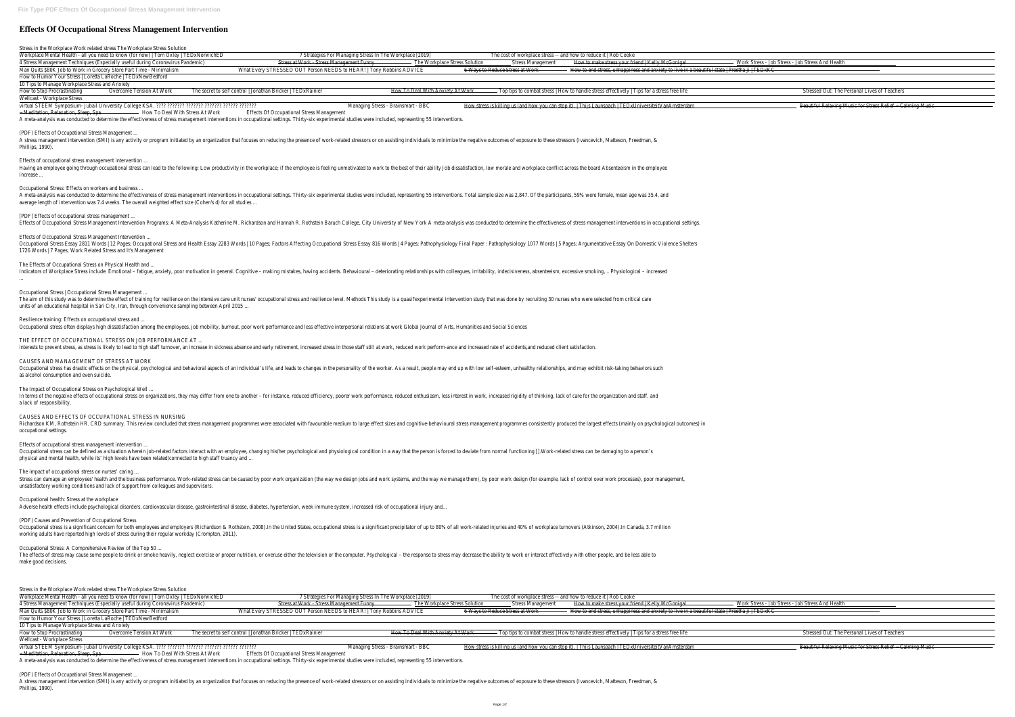## **Effects Of Occupational Stress Management Intervention**

Stress in the Workplace Work related stress The Workplace Stress Solution Workplace Mental Health - all you need to know (for now) | Tom Oxley | TEDxNorwichED 7 Strategies For Managing Stress In 4 Stress Management Techniques (Especially useful during Coronavirus Pandemic) Stress at Work - Stress Management Funny Man Quits \$80K Job to Work in Grocery Store Part Time - Minimalism What Every STRESSED OUT Person NEEDS to HEAR! | Tony Robb How to Humor Your Stress | Loretta LaRoche | TEDxNewBedford 10 Tips to Manage Workplace Stress and Anxiety How To Deal With Anxiety At Work The secret to self control | Jonathan Bricker | TEDxRainier How To Deal With Anxiety At Work How To Deal With Anxiety At Work How To Deal With Anxiety At Work How To Deal With Anxiety At Wo Wellcast - Workplace Stress virtual STEEM Symposium- Jubail University College KSA. ???? ??????? ??????? ??????? ?????? ??????? Managing Stress - Brainsmart - BBC How stress is killing us (and how you can stop it). | Thijs Launspach | TEDxUniversiteitVanAmsterdam Beautiful Relaxing Music for Stress Relief ~ Calming Music - Meditation, Relaxation, Sleep, Spa – How To Deal With Stress At Work Effects Of Occupational Stress Management A meta-analysis was conducted to determine the effectiveness of stress management interventions in occupational settings. Thirty-six experimental studies (PDF) Effects of Occupational Stress Management ... A stress management intervention (SMI) is any activity or program initiated by an organization that focuses on reducing the presence of work-related stres Phillips, 1990). Effects of occupational stress management intervention ... Having an employee going through occupational stress can lead to the following: Low productivity in the workplace; if the employee is feeling unmotivated t Increase ... Occupational Stress: Effects on workers and business ... A meta-analysis was conducted to determine the effectiveness of stress management interventions in occupational settings. Thirty-six experimental studies average length of intervention was 7.4 weeks. The overall weighted effect size (Cohen's d) for all studies ... [PDF] Effects of occupational stress management ... Effects of Occupational Stress Management Intervention Programs: A Meta-Analysis Katherine M. Richardson and Hannah R. Rothstein Baruch College, City I Effects of Occupational Stress Management Intervention ... Occupational Stress Essay 2811 Words | 12 Pages; Occupational Stress and Health Essay 2283 Words | 10 Pages; Factors Affecting Occupational Stress Es 1726 Words | 7 Pages; Work Related Stress and It's Management The Effects of Occupational Stress on Physical Health and ... Indicators of Workplace Stress include: Emotional - fatique, anxiety, poor motivation in general. Cognitive - making mistakes, having accidents. Behavioural ... Occupational Stress | Occupational Stress Management ... The aim of this study was to determine the effect of training for resilience on the intensive care unit nurses' occupational stress and resilience level. Methe units of an educational hospital in Sari City, Iran, through convenience sampling between April 2015 ... Resilience training: Effects on occupational stress and ... Occupational stress often displays high dissatisfaction among the employees, job mobility, burnout, poor work performance and less effective interpersonal THE EFFECT OF OCCUPATIONAL STRESS ON JOB PERFORMANCE AT ... interests to prevent stress, as stress is likely to lead to high staff turnover, an increase in sickness absence and early retirement, increased stress in those CAUSES AND MANAGEMENT OF STRESS AT WORK Occupational stress has drastic effects on the physical, psychological and behavioral aspects of an individual's life, and leads to changes in the personality as alcohol consumption and even suicide. The Impact of Occupational Stress on Psychological Well ... In terms of the negative effects of occupational stress on organizations, they may differ from one to another - for instance, reduced efficiency, poorer wor a lack of responsibility. CAUSES AND EFFECTS OF OCCUPATIONAL STRESS IN NURSING Richardson KM, Rothstein HR. CRD summary. This review concluded that stress management programmes were associated with favourable medium to large occupational settings. Effects of occupational stress management intervention ... Occupational stress can be defined as a situation wherein job-related factors interact with an employee, changing his/her psychological and physiological co physical and mental health, while its' high levels have been related/connected to high staff truancy and ... The impact of occupational stress on nurses' caring ... Stress can damage an employees' health and the business performance. Work-related stress can be caused by poor work organization (the way we design j unsatisfactory working conditions and lack of support from colleagues and supervisors. Occupational health: Stress at the workplace Adverse health effects include psychological disorders, cardiovascular disease, gastrointestinal disease, diabetes, hypertension, week immune system, increa (PDF) Causes and Prevention of Occupational Stress Occupational stress is a significant concern for both employees and employers (Richardson & Rothstein, 2008). In the United States, occupational stress is a working adults have reported high levels of stress during their regular workday (Crompton, 2011). Occupational Stress: A Comprehensive Review of the Top 50 ... The effects of stress may cause some people to drink or smoke heavily, neglect exercise or proper nutrition, or overuse either the television or the compute make good decisions. Stress in the Workplace Work related stress The Workplace Stress Solution Workplace Mental Health - all you need to know (for now) | Tom Oxley | TEDxNorwichED 7 Strategies For Managing Stress In 4 Stress Management Techniques (Especially useful during Coronavirus Pandemic) Stress at Work - Stress Management Funny The Workplace Stress Solution The Workplace Stress Solution The Workplace Stress Solution The Work and Man Quits \$80K Job to Work in Grocery Store Part Time - Minimalism What Every STRESSED OUT Person NEEDS to HEAR! | Tony Robbins ADVICE 6 Ways to Reduce Stress at Work 6 Ways to Reduce Stress at Work 6 Ways to Reduce Stress How to Humor Your Stress | Loretta LaRoche | TEDxNewBedford 10 Tips to Manage Workplace Stress and Anxiety How To Deal With Anxiety At Work The secret to self control | Jonathan Bricker | TEDxRainier How To Deal With Anxiety At Work How To Deal With Anxiety At Work How To Deal With Anxiety At Work How To Deal With Anxiety At Wo Wellcast - Workplace Stress

- Meditation, Relaxation, Sleep, Spa — — How To Deal With Stress At Work Effects Of Occupational Stress Management A meta-analysis was conducted to determine the effectiveness of stress management interventions in occupational settings. Thirty-six experimental studies were included, representing 55 interventions.

A stress management intervention (SMI) is any activity or program initiated by an organization that focuses on reducing the presence of work-related stressors or on assisting individuals to minimize the negative outcomes o Phillips, 1990).

| The Workplace [2019]                                  |                                                                                                                   | The cost of workplace stress -- and how to reduce it   Rob Cooke                                                                                                                                                                                                                                                                                              |                                  |
|-------------------------------------------------------|-------------------------------------------------------------------------------------------------------------------|---------------------------------------------------------------------------------------------------------------------------------------------------------------------------------------------------------------------------------------------------------------------------------------------------------------------------------------------------------------|----------------------------------|
| The Workplace Stress Solution<br><b>Dins ADVICE</b>   | <b>Stress Management</b><br>6 Ways to Reduce Stress at Work                                                       | How to make stress your friend   Kelly McGonigal<br>How to end stress, unhappiness and anxiety to live in a beautiful state                                                                                                                                                                                                                                   | <b>Work Stress</b><br>Preetha ji |
| How To Deal With Anxiety At Work                      |                                                                                                                   | Top tips to combat stress   How to handle stress effectively   Tips for a stress free life                                                                                                                                                                                                                                                                    |                                  |
| s - Brainsmart - BBC                                  |                                                                                                                   | How stress is killing us (and how you can stop it).   Thijs Launspach   TEDxUniversiteitVanAmsterdam                                                                                                                                                                                                                                                          |                                  |
| s were included, representing 55 interventions.       |                                                                                                                   |                                                                                                                                                                                                                                                                                                                                                               |                                  |
|                                                       |                                                                                                                   | ssors or on assisting individuals to minimize the negative outcomes of exposure to these stressors (Ivancevich, Matteson, Freedman, &                                                                                                                                                                                                                         |                                  |
|                                                       |                                                                                                                   | to work to the best of their ability Job dissatisfaction, low morale and workplace conflict across the board Absenteeism in the employee                                                                                                                                                                                                                      |                                  |
|                                                       |                                                                                                                   | s were included, representing 55 interventions. Total sample size was 2,847. Of the participants, 59% were female, mean age was 35.4, and                                                                                                                                                                                                                     |                                  |
|                                                       |                                                                                                                   | University of New York A meta-analysis was conducted to determine the effectiveness of stress management interventions in occupational settings.                                                                                                                                                                                                              |                                  |
|                                                       |                                                                                                                   | ssay 816 Words   4 Pages; Pathophysiology Final Paper : Pathophysiology 1077 Words   5 Pages; Argumentative Essay On Domestic Violence Shelters                                                                                                                                                                                                               |                                  |
|                                                       |                                                                                                                   | deteriorating relationships with colleagues, irritability, indecisiveness, absenteeism, excessive smoking, Physiological – increased                                                                                                                                                                                                                          |                                  |
|                                                       |                                                                                                                   | ods This study is a quasi?experimental intervention study that was done by recruiting 30 nurses who were selected from critical care                                                                                                                                                                                                                          |                                  |
|                                                       | relations at work Global Journal of Arts, Humanities and Social Sciences                                          |                                                                                                                                                                                                                                                                                                                                                               |                                  |
|                                                       | e staff still at work, reduced work perform-ance and increased rate of accidents,and reduced client satisfaction. |                                                                                                                                                                                                                                                                                                                                                               |                                  |
|                                                       |                                                                                                                   | of the worker. As a result, people may end up with low self-esteem, unhealthy relationships, and may exhibit risk-taking behaviors such                                                                                                                                                                                                                       |                                  |
|                                                       |                                                                                                                   | rk performance, reduced enthusiasm, less interest in work, increased rigidity of thinking, lack of care for the organization and staff, and                                                                                                                                                                                                                   |                                  |
|                                                       |                                                                                                                   | effect sizes and cognitive-behavioural stress management programmes consistently produced the largest effects (mainly on psychological outcomes) in                                                                                                                                                                                                           |                                  |
|                                                       |                                                                                                                   | ondition in a way that the person is forced to deviate from normal functioning [].Work-related stress can be damaging to a person's                                                                                                                                                                                                                           |                                  |
|                                                       |                                                                                                                   | jobs and work systems, and the way we manage them), by poor work design (for example, lack of control over work processes), poor management,                                                                                                                                                                                                                  |                                  |
| ised risk of occupational injury and                  |                                                                                                                   |                                                                                                                                                                                                                                                                                                                                                               |                                  |
|                                                       |                                                                                                                   | a significant precipitator of up to 80% of all work-related injuries and 40% of workplace turnovers (Atkinson, 2004). In Canada, 3.7 million                                                                                                                                                                                                                  |                                  |
|                                                       |                                                                                                                   | er. Psychological - the response to stress may decrease the ability to work or interact effectively with other people, and be less able to                                                                                                                                                                                                                    |                                  |
| The Workplace [2019]<br>The Workplace Stress Solution | <b>Stress Management</b>                                                                                          | The cost of workplace stress -- and how to reduce it   Rob Cooke<br>How to make stress your friend   Kelly McGonigal                                                                                                                                                                                                                                          | <b>Work Stress</b>               |
| <b>Dins ADVICE</b>                                    | 6 Ways to Reduce Stress at Work                                                                                   | How to end stress, unhappiness and anxiety to live in a beau                                                                                                                                                                                                                                                                                                  | Preetha ji                       |
|                                                       |                                                                                                                   | $\mathbf{T}_1$ , $\mathbf{T}_2$ , $\mathbf{D}_1$ , $\mathbf{I}_1$ , $\mathbf{M}_2$ , $\mathbf{L}_2$ , $\mathbf{M}_3$ , $\mathbf{L}_3$ , $\mathbf{T}_4$ , $\mathbf{L}_3$ , $\mathbf{L}_4$ , $\mathbf{L}_5$ , $\mathbf{L}_5$ , $\mathbf{L}_6$ , $\mathbf{L}_7$ , $\mathbf{L}_8$ , $\mathbf{L}_7$ , $\mathbf{L}_8$ , $\mathbf{L}_7$ , $\mathbf{L}_8$ , $\mathbf$ |                                  |

virtual STEEM Symposium- Jubail University College KSA. ???? ??????? ??????? ??????? ?????? ??????? Managing Stress - Brainsmart - BBC How stress is killing us (and how you can stop it). | Thijs Launspach | TEDxUniversiteitVanAmsterdam Beautiful Relaxing Music for Stress Relief ~ Calming Music

(PDF) Effects of Occupational Stress Management ...

| ' H≙alth_<br>$\cdot$ $\circ$ +racc $\overline{\phantom{a}}$<br>$\cdot$ . C <sub>trocc</sub><br>And<br>- ה<br>$\sim$ |  |
|---------------------------------------------------------------------------------------------------------------------|--|
| LIWKI                                                                                                               |  |
| <del>ncomo</del>                                                                                                    |  |
|                                                                                                                     |  |